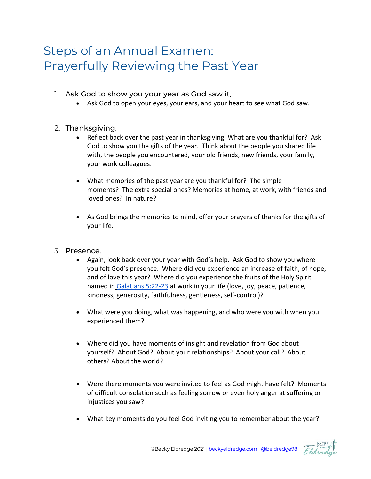## Steps of an Annual Examen: Prayerfully Reviewing the Past Year

- 1. Ask God to show you your year as God saw it.
	- Ask God to open your eyes, your ears, and your heart to see what God saw.
- 2. Thanksgiving.
	- Reflect back over the past year in thanksgiving. What are you thankful for? Ask God to show you the gifts of the year. Think about the people you shared life with, the people you encountered, your old friends, new friends, your family, your work colleagues.
	- What memories of the past year are you thankful for? The simple moments? The extra special ones? Memories at home, at work, with friends and loved ones? In nature?
	- As God brings the memories to mind, offer your prayers of thanks for the gifts of your life.
- 3. Presence.
	- Again, look back over your year with God's help. Ask God to show you where you felt God's presence. Where did you experience an increase of faith, of hope, and of love this year? Where did you experience the fruits of the Holy Spirit named in [Galatians 5:22-23](http://www.usccb.org/bible/galatians/5) at work in your life (love, joy, peace, patience, kindness, generosity, faithfulness, gentleness, self-control)?
	- What were you doing, what was happening, and who were you with when you experienced them?
	- Where did you have moments of insight and revelation from God about yourself? About God? About your relationships? About your call? About others? About the world?
	- Were there moments you were invited to feel as God might have felt? Moments of difficult consolation such as feeling sorrow or even holy anger at suffering or injustices you saw?
	- What key moments do you feel God inviting you to remember about the year?